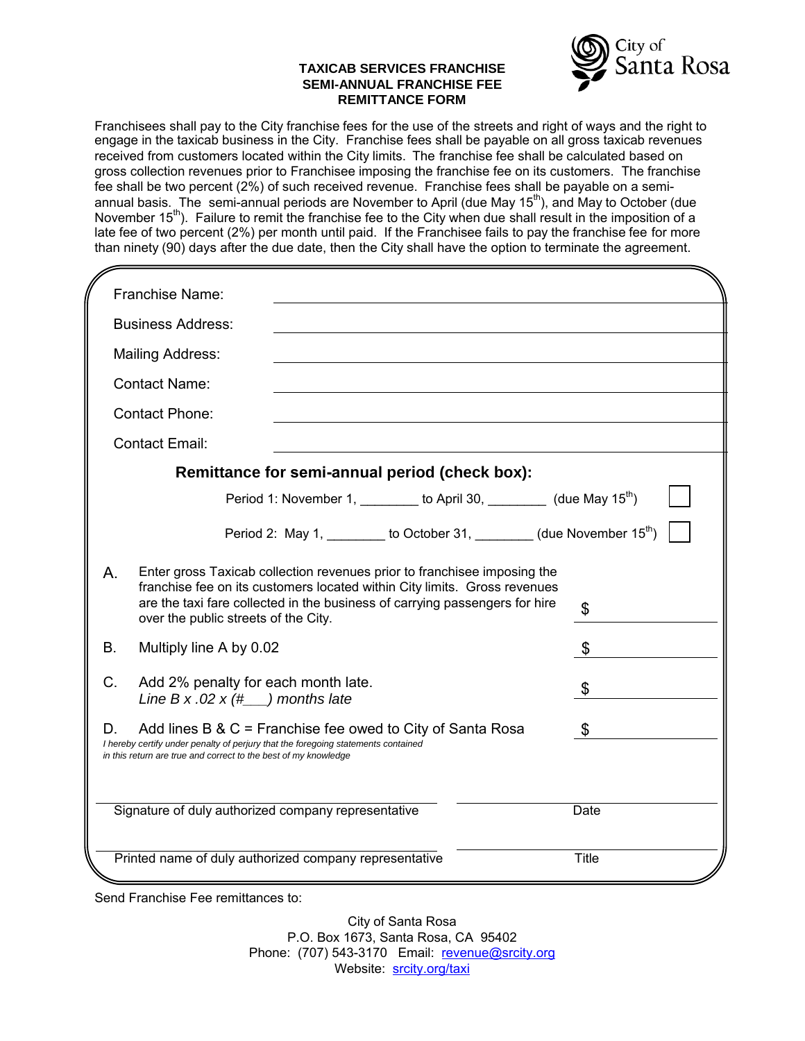#### **TAXICAB SERVICES FRANCHISE SEMI-ANNUAL FRANCHISE FEE REMITTANCE FORM**



Franchisees shall pay to the City franchise fees for the use of the streets and right of ways and the right to engage in the taxicab business in the City. Franchise fees shall be payable on all gross taxicab revenues received from customers located within the City limits. The franchise fee shall be calculated based on gross collection revenues prior to Franchisee imposing the franchise fee on its customers. The franchise fee shall be two percent (2%) of such received revenue. Franchise fees shall be payable on a semiannual basis. The semi-annual periods are November to April (due May 15<sup>th</sup>), and May to October (due November 15<sup>th</sup>). Failure to remit the franchise fee to the City when due shall result in the imposition of a late fee of two percent (2%) per month until paid. If the Franchisee fails to pay the franchise fee for more than ninety (90) days after the due date, then the City shall have the option to terminate the agreement.

|                                                                                                                                                                                                                                                                                          | Franchise Name:                                                         |  |                                                                              |  |              |
|------------------------------------------------------------------------------------------------------------------------------------------------------------------------------------------------------------------------------------------------------------------------------------------|-------------------------------------------------------------------------|--|------------------------------------------------------------------------------|--|--------------|
| <b>Business Address:</b>                                                                                                                                                                                                                                                                 |                                                                         |  |                                                                              |  |              |
|                                                                                                                                                                                                                                                                                          | <b>Mailing Address:</b>                                                 |  |                                                                              |  |              |
| <b>Contact Name:</b>                                                                                                                                                                                                                                                                     |                                                                         |  |                                                                              |  |              |
|                                                                                                                                                                                                                                                                                          | <b>Contact Phone:</b>                                                   |  |                                                                              |  |              |
|                                                                                                                                                                                                                                                                                          | <b>Contact Email:</b>                                                   |  |                                                                              |  |              |
| Remittance for semi-annual period (check box):                                                                                                                                                                                                                                           |                                                                         |  |                                                                              |  |              |
|                                                                                                                                                                                                                                                                                          |                                                                         |  | Period 1: November 1, ________ to April 30, ________ (due May $15^{th}$ )    |  |              |
|                                                                                                                                                                                                                                                                                          |                                                                         |  | Period 2: May 1, _________ to October 31, ________ (due November $15^{th}$ ) |  |              |
| Enter gross Taxicab collection revenues prior to franchisee imposing the<br>Α.<br>franchise fee on its customers located within City limits. Gross revenues<br>are the taxi fare collected in the business of carrying passengers for hire<br>\$<br>over the public streets of the City. |                                                                         |  |                                                                              |  |              |
| B.                                                                                                                                                                                                                                                                                       | Multiply line A by 0.02                                                 |  |                                                                              |  | \$           |
| $C_{\cdot}$                                                                                                                                                                                                                                                                              | Add 2% penalty for each month late.<br>Line B x .02 x $(\#$ months late |  |                                                                              |  | \$           |
| \$<br>D.<br>Add lines $B & C$ = Franchise fee owed to City of Santa Rosa<br>I hereby certify under penalty of perjury that the foregoing statements contained<br>in this return are true and correct to the best of my knowledge                                                         |                                                                         |  |                                                                              |  |              |
| Signature of duly authorized company representative                                                                                                                                                                                                                                      |                                                                         |  |                                                                              |  | Date         |
|                                                                                                                                                                                                                                                                                          | Printed name of duly authorized company representative                  |  |                                                                              |  | <b>Title</b> |

Send Franchise Fee remittances to:

City of Santa Rosa P.O. Box 1673, Santa Rosa, CA 95402 Phone: (707) 543-3170 Email: [revenue@srcity.org](mailto:revenue@srcity.org) Website: [srcity.org/taxi](https://srcity.org/209/Taxicab-Services-Ordinance)